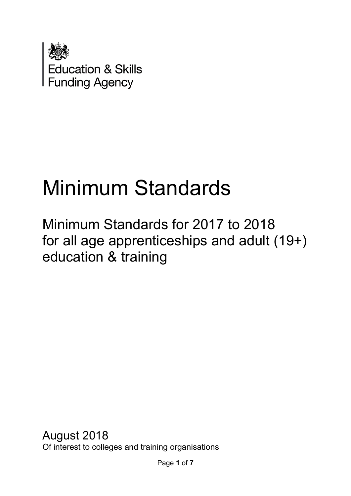

# Minimum Standards

Minimum Standards for 2017 to 2018 for all age apprenticeships and adult (19+) education & training

August 2018 Of interest to colleges and training organisations

Page **1** of **7**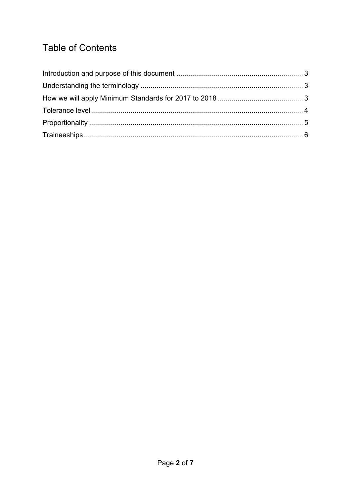# **Table of Contents**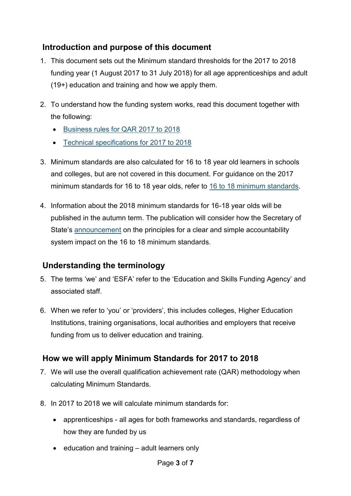### <span id="page-2-0"></span>**Introduction and purpose of this document**

- 1. This document sets out the Minimum standard thresholds for the 2017 to 2018 funding year (1 August 2017 to 31 July 2018) for all age apprenticeships and adult (19+) education and training and how we apply them.
- 2. To understand how the funding system works, read this document together with the following:
	- **[Business rules for QAR 2017 to 2018](https://assets.publishing.service.gov.uk/government/uploads/system/uploads/attachment_data/file/686876/ESFA_business_rules_for_QAR_2017_to_2018_-_March_2018.pdf)**
	- [Technical specifications for 2017 to 2018](https://www.gov.uk/government/publications/qualification-achievement-rates-2017-to-2018)
- 3. Minimum standards are also calculated for 16 to 18 year old learners in schools and colleges, but are not covered in this document. For guidance on the 2017 minimum standards for 16 to 18 year olds, refer to [16 to 18 minimum standards.](https://www.gov.uk/government/publications/16-to-18-minimum-standards)
- 4. Information about the 2018 minimum standards for 16-18 year olds will be published in the autumn term. The publication will consider how the Secretary of State's [announcement](https://www.gov.uk/government/publications/principles-for-a-clear-and-simple-school-accountability-system) on the principles for a clear and simple accountability system impact on the 16 to 18 minimum standards.

# <span id="page-2-1"></span>**Understanding the terminology**

- 5. The terms 'we' and 'ESFA' refer to the 'Education and Skills Funding Agency' and associated staff.
- 6. When we refer to 'you' or 'providers', this includes colleges, Higher Education Institutions, training organisations, local authorities and employers that receive funding from us to deliver education and training.

# <span id="page-2-2"></span>**How we will apply Minimum Standards for 2017 to 2018**

- 7. We will use the overall qualification achievement rate (QAR) methodology when calculating Minimum Standards.
- 8. In 2017 to 2018 we will calculate minimum standards for:
	- apprenticeships all ages for both frameworks and standards, regardless of how they are funded by us
	- $\bullet$  education and training adult learners only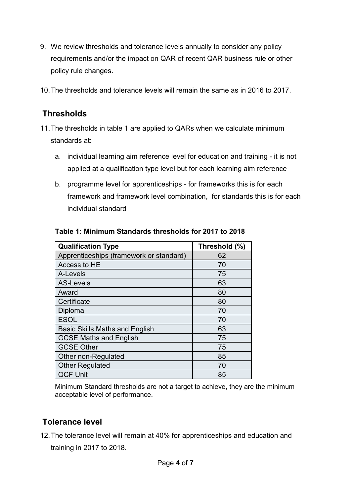- 9. We review thresholds and tolerance levels annually to consider any policy requirements and/or the impact on QAR of recent QAR business rule or other policy rule changes.
- 10.The thresholds and tolerance levels will remain the same as in 2016 to 2017.

#### **Thresholds**

- 11.The thresholds in table 1 are applied to QARs when we calculate minimum standards at:
	- a. individual learning aim reference level for education and training it is not applied at a qualification type level but for each learning aim reference
	- b. programme level for apprenticeships for frameworks this is for each framework and framework level combination, for standards this is for each individual standard

| <b>Qualification Type</b>               | Threshold (%) |
|-----------------------------------------|---------------|
| Apprenticeships (framework or standard) | 62            |
| Access to HE                            | 70            |
| A-Levels                                | 75            |
| <b>AS-Levels</b>                        | 63            |
| Award                                   | 80            |
| Certificate                             | 80            |
| Diploma                                 | 70            |
| <b>ESOL</b>                             | 70            |
| <b>Basic Skills Maths and English</b>   | 63            |
| <b>GCSE Maths and English</b>           | 75            |
| <b>GCSE Other</b>                       | 75            |
| Other non-Regulated                     | 85            |
| <b>Other Regulated</b>                  | 70            |
| <b>QCF Unit</b>                         | 85            |

#### **Table 1: Minimum Standards thresholds for 2017 to 2018**

Minimum Standard thresholds are not a target to achieve, they are the minimum acceptable level of performance.

#### <span id="page-3-0"></span>**Tolerance level**

12.The tolerance level will remain at 40% for apprenticeships and education and training in 2017 to 2018.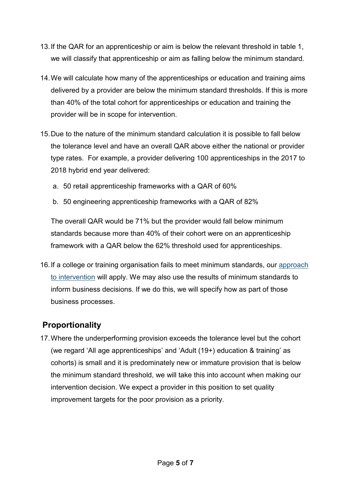- 13.If the QAR for an apprenticeship or aim is below the relevant threshold in table 1, we will classify that apprenticeship or aim as falling below the minimum standard.
- 14.We will calculate how many of the apprenticeships or education and training aims delivered by a provider are below the minimum standard thresholds. If this is more than 40% of the total cohort for apprenticeships or education and training the provider will be in scope for intervention.
- 15.Due to the nature of the minimum standard calculation it is possible to fall below the tolerance level and have an overall QAR above either the national or provider type rates. For example, a provider delivering 100 apprenticeships in the 2017 to 2018 hybrid end year delivered:
	- a. 50 retail apprenticeship frameworks with a QAR of 60%
	- b. 50 engineering apprenticeship frameworks with a QAR of 82%

The overall QAR would be 71% but the provider would fall below minimum standards because more than 40% of their cohort were on an apprenticeship framework with a QAR below the 62% threshold used for apprenticeships.

16.If a college or training organisation fails to meet minimum standards, our [approach](https://www.gov.uk/government/publications/sfa-when-and-how-the-sfa-will-formally-intervene-with-providers)  [to intervention](https://www.gov.uk/government/publications/sfa-when-and-how-the-sfa-will-formally-intervene-with-providers) will apply. We may also use the results of minimum standards to inform business decisions. If we do this, we will specify how as part of those business processes.

# <span id="page-4-0"></span>**Proportionality**

17.Where the underperforming provision exceeds the tolerance level but the cohort (we regard 'All age apprenticeships' and 'Adult (19+) education & training' as cohorts) is small and it is predominately new or immature provision that is below the minimum standard threshold, we will take this into account when making our intervention decision. We expect a provider in this position to set quality improvement targets for the poor provision as a priority.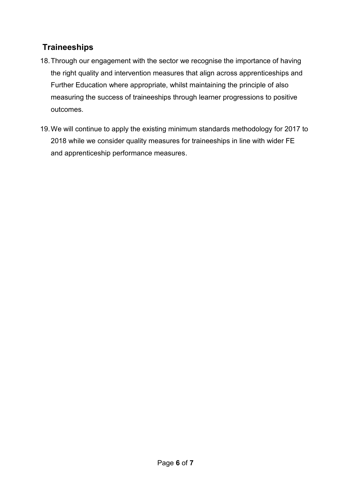# <span id="page-5-0"></span>**Traineeships**

- 18.Through our engagement with the sector we recognise the importance of having the right quality and intervention measures that align across apprenticeships and Further Education where appropriate, whilst maintaining the principle of also measuring the success of traineeships through learner progressions to positive outcomes.
- 19.We will continue to apply the existing minimum standards methodology for 2017 to 2018 while we consider quality measures for traineeships in line with wider FE and apprenticeship performance measures.